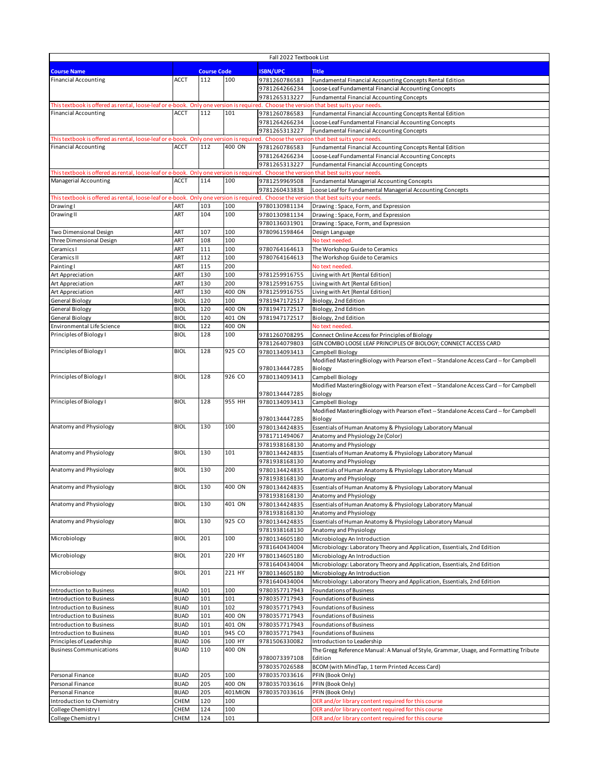| Fall 2022 Textbook List                                                                                                                                              |             |                           |         |                                |                                                                                        |
|----------------------------------------------------------------------------------------------------------------------------------------------------------------------|-------------|---------------------------|---------|--------------------------------|----------------------------------------------------------------------------------------|
|                                                                                                                                                                      |             |                           |         |                                |                                                                                        |
| <b>Course Name</b><br><b>Financial Accounting</b>                                                                                                                    | <b>ACCT</b> | <b>Course Code</b><br>112 | 100     | <b>ISBN/UPC</b>                | <b>Title</b>                                                                           |
|                                                                                                                                                                      |             |                           |         | 9781260786583                  | Fundamental Financial Accounting Concepts Rental Edition                               |
|                                                                                                                                                                      |             |                           |         | 9781264266234                  | Loose-Leaf Fundamental Financial Accounting Concepts                                   |
|                                                                                                                                                                      |             |                           |         | 9781265313227                  | <b>Fundamental Financial Accounting Concepts</b>                                       |
| This textbook is offered as rental, loose-leaf or e-book. Only one version is required. Choose the version that best suits your needs<br><b>Financial Accounting</b> | <b>ACCT</b> | 112                       | 101     |                                |                                                                                        |
|                                                                                                                                                                      |             |                           |         | 9781260786583<br>9781264266234 | Fundamental Financial Accounting Concepts Rental Edition                               |
|                                                                                                                                                                      |             |                           |         |                                | Loose-Leaf Fundamental Financial Accounting Concepts                                   |
|                                                                                                                                                                      |             |                           |         | 9781265313227                  | <b>Fundamental Financial Accounting Concepts</b>                                       |
| This textbook is offered as rental, loose-leaf or e-book. Only one version is required. Choose the version that best suits your needs                                |             |                           | 400 ON  |                                |                                                                                        |
| <b>Financial Accounting</b>                                                                                                                                          | <b>ACCT</b> | 112                       |         | 9781260786583                  | Fundamental Financial Accounting Concepts Rental Edition                               |
|                                                                                                                                                                      |             |                           |         | 9781264266234                  | Loose-Leaf Fundamental Financial Accounting Concepts                                   |
|                                                                                                                                                                      |             |                           |         | 9781265313227                  | <b>Fundamental Financial Accounting Concepts</b>                                       |
| This textbook is offered as rental, loose-leaf or e-book. Only one version is required. Choose the version that best suits your needs                                |             |                           |         |                                |                                                                                        |
| Managerial Accounting                                                                                                                                                | <b>ACCT</b> | 114                       | 100     | 9781259969508                  | Fundamental Managerial Accounting Concepts                                             |
|                                                                                                                                                                      |             |                           |         | 9781260433838                  | Loose Leaf for Fundamental Managerial Accounting Concepts                              |
| This textbook is offered as rental, loose-leaf or e-book. Only one version is required. Choose the version that best suits your needs                                |             |                           |         |                                |                                                                                        |
| <b>Drawing</b> I                                                                                                                                                     | ART         | 103                       | 100     | 9780130981134                  | Drawing: Space, Form, and Expression                                                   |
| Drawing II                                                                                                                                                           | ART         | 104                       | 100     | 9780130981134                  | Drawing: Space, Form, and Expression                                                   |
|                                                                                                                                                                      |             |                           |         | 9780136031901                  | Drawing: Space, Form, and Expression                                                   |
| Two Dimensional Design                                                                                                                                               | ART         | 107                       | 100     | 9780961598464                  | Design Language                                                                        |
| Three Dimensional Design                                                                                                                                             | ART         | 108                       | 100     |                                | No text needed.                                                                        |
| Ceramics I                                                                                                                                                           | ART         | 111                       | 100     | 9780764164613                  | The Workshop Guide to Ceramics                                                         |
| Ceramics II                                                                                                                                                          | ART         | 112                       | 100     | 9780764164613                  | The Workshop Guide to Ceramics                                                         |
| Painting I                                                                                                                                                           | ART         | 115                       | 200     |                                | No text needed                                                                         |
| Art Appreciation                                                                                                                                                     | ART         | 130                       | 100     | 9781259916755                  | Living with Art [Rental Edition]                                                       |
| Art Appreciation                                                                                                                                                     | ART         | 130                       | 200     | 9781259916755                  | Living with Art [Rental Edition]                                                       |
| Art Appreciation                                                                                                                                                     | ART         | 130                       | 400 ON  | 9781259916755                  | Living with Art [Rental Edition]                                                       |
| <b>General Biology</b>                                                                                                                                               | <b>BIOL</b> | 120                       | 100     | 9781947172517                  | Biology, 2nd Edition                                                                   |
| General Biology                                                                                                                                                      | <b>BIOL</b> | 120                       | 400 ON  | 9781947172517                  | Biology, 2nd Edition                                                                   |
| General Biology                                                                                                                                                      | <b>BIOL</b> | 120                       | 401 ON  | 9781947172517                  | Biology, 2nd Edition                                                                   |
| Environmental Life Science                                                                                                                                           | <b>BIOL</b> | 122                       | 400 ON  |                                | No text needed                                                                         |
| Principles of Biology I                                                                                                                                              | <b>BIOL</b> | 128                       | 100     | 9781260708295                  | Connect Online Access for Principles of Biology                                        |
|                                                                                                                                                                      |             |                           |         | 9781264079803                  | GEN COMBO LOOSE LEAF PRINCIPLES OF BIOLOGY; CONNECT ACCESS CARD                        |
| Principles of Biology I                                                                                                                                              | <b>BIOL</b> | 128                       | 925 CO  | 9780134093413                  | Campbell Biology                                                                       |
|                                                                                                                                                                      |             |                           |         |                                | Modified MasteringBiology with Pearson eText -- Standalone Access Card -- for Campbell |
|                                                                                                                                                                      |             |                           |         | 9780134447285                  | Biology                                                                                |
| Principles of Biology I                                                                                                                                              | <b>BIOL</b> | 128                       | 926 CO  | 9780134093413                  | Campbell Biology                                                                       |
|                                                                                                                                                                      |             |                           |         |                                | Modified MasteringBiology with Pearson eText -- Standalone Access Card -- for Campbell |
|                                                                                                                                                                      |             |                           |         | 9780134447285                  | Biology                                                                                |
| Principles of Biology I                                                                                                                                              | <b>BIOL</b> | 128                       | 955 HH  | 9780134093413                  | Campbell Biology                                                                       |
|                                                                                                                                                                      |             |                           |         |                                | Modified MasteringBiology with Pearson eText -- Standalone Access Card -- for Campbell |
|                                                                                                                                                                      |             |                           |         | 9780134447285                  | Biology                                                                                |
| Anatomy and Physiology                                                                                                                                               | <b>BIOL</b> | 130                       | 100     | 9780134424835                  | Essentials of Human Anatomy & Physiology Laboratory Manual                             |
|                                                                                                                                                                      |             |                           |         | 9781711494067                  | Anatomy and Physiology 2e (Color)                                                      |
|                                                                                                                                                                      |             |                           |         | 9781938168130                  | Anatomy and Physiology                                                                 |
| Anatomy and Physiology                                                                                                                                               | <b>BIOL</b> | 130                       | 101     |                                |                                                                                        |
|                                                                                                                                                                      |             |                           |         | 9780134424835                  | Essentials of Human Anatomy & Physiology Laboratory Manual                             |
|                                                                                                                                                                      |             |                           |         | 9781938168130                  | Anatomy and Physiology                                                                 |
| Anatomy and Physiology                                                                                                                                               | <b>BIOL</b> | 130                       | 200     | 9780134424835                  | Essentials of Human Anatomy & Physiology Laboratory Manual                             |
|                                                                                                                                                                      |             |                           |         | 9781938168130                  | Anatomy and Physiology                                                                 |
| Anatomy and Physiology                                                                                                                                               | <b>BIOL</b> | 130                       | 400 ON  | 9780134424835                  | Essentials of Human Anatomy & Physiology Laboratory Manual                             |
|                                                                                                                                                                      |             |                           |         | 9781938168130                  | Anatomy and Physiology                                                                 |
| Anatomy and Physiology                                                                                                                                               | <b>BIOL</b> | 130                       | 401 ON  | 9780134424835                  | Essentials of Human Anatomy & Physiology Laboratory Manual                             |
|                                                                                                                                                                      |             |                           |         | 9781938168130                  | Anatomy and Physiology                                                                 |
| Anatomy and Physiology                                                                                                                                               | <b>BIOL</b> | 130                       | 925 CO  | 9780134424835                  | Essentials of Human Anatomy & Physiology Laboratory Manual                             |
|                                                                                                                                                                      |             |                           |         | 9781938168130                  | Anatomy and Physiology                                                                 |
| Microbiology                                                                                                                                                         | <b>BIOL</b> | 201                       | 100     | 9780134605180                  | Microbiology An Introduction                                                           |
|                                                                                                                                                                      |             |                           |         | 9781640434004                  | Microbiology: Laboratory Theory and Application, Essentials, 2nd Edition               |
| Microbiology                                                                                                                                                         | <b>BIOL</b> | 201                       | 220 HY  | 9780134605180                  | Microbiology An Introduction                                                           |
|                                                                                                                                                                      |             |                           |         | 9781640434004                  | Microbiology: Laboratory Theory and Application, Essentials, 2nd Edition               |
| Microbiology                                                                                                                                                         | <b>BIOL</b> | 201                       | 221 HY  | 9780134605180                  | Microbiology An Introduction                                                           |
|                                                                                                                                                                      |             |                           |         | 9781640434004                  | Microbiology: Laboratory Theory and Application, Essentials, 2nd Edition               |
| Introduction to Business                                                                                                                                             | <b>BUAD</b> | 101                       | 100     | 9780357717943                  | <b>Foundations of Business</b>                                                         |
| Introduction to Business                                                                                                                                             | <b>BUAD</b> | 101                       | 101     | 9780357717943                  | <b>Foundations of Business</b>                                                         |
| <b>Introduction to Business</b>                                                                                                                                      | <b>BUAD</b> | 101                       | 102     | 9780357717943                  | Foundations of Business                                                                |
| Introduction to Business                                                                                                                                             | <b>BUAD</b> | 101                       | 400 ON  | 9780357717943                  | Foundations of Business                                                                |
| Introduction to Business                                                                                                                                             | <b>BUAD</b> | 101                       | 401 ON  | 9780357717943                  | Foundations of Business                                                                |
| Introduction to Business                                                                                                                                             | <b>BUAD</b> | 101                       | 945 CO  | 9780357717943                  | <b>Foundations of Business</b>                                                         |
| Principles of Leadership                                                                                                                                             | <b>BUAD</b> | 106                       | 100 HY  | 9781506330082                  | Introduction to Leadership                                                             |
| <b>Business Communications</b>                                                                                                                                       | <b>BUAD</b> | 110                       | 400 ON  |                                | The Gregg Reference Manual: A Manual of Style, Grammar, Usage, and Formatting Tribute  |
|                                                                                                                                                                      |             |                           |         | 9780073397108                  | Edition                                                                                |
|                                                                                                                                                                      |             |                           |         | 9780357026588                  | BCOM (with MindTap, 1 term Printed Access Card)                                        |
| Personal Finance                                                                                                                                                     | <b>BUAD</b> | 205                       | 100     | 9780357033616                  | PFIN (Book Only)                                                                       |
| Personal Finance                                                                                                                                                     | <b>BUAD</b> | 205                       | 400 ON  | 9780357033616                  | PFIN (Book Only)                                                                       |
| Personal Finance                                                                                                                                                     | <b>BUAD</b> | 205                       | 401MION | 9780357033616                  | PFIN (Book Only)                                                                       |
| Introduction to Chemistry                                                                                                                                            | <b>CHEM</b> | 120                       | 100     |                                | OER and/or library content required for this course                                    |
|                                                                                                                                                                      |             | 124                       |         |                                |                                                                                        |
| College Chemistry I                                                                                                                                                  | CHEM        |                           | 100     |                                | OER and/or library content required for this course                                    |
| College Chemistry I                                                                                                                                                  | CHEM        | 124                       | 101     |                                | OER and/or library content required for this course                                    |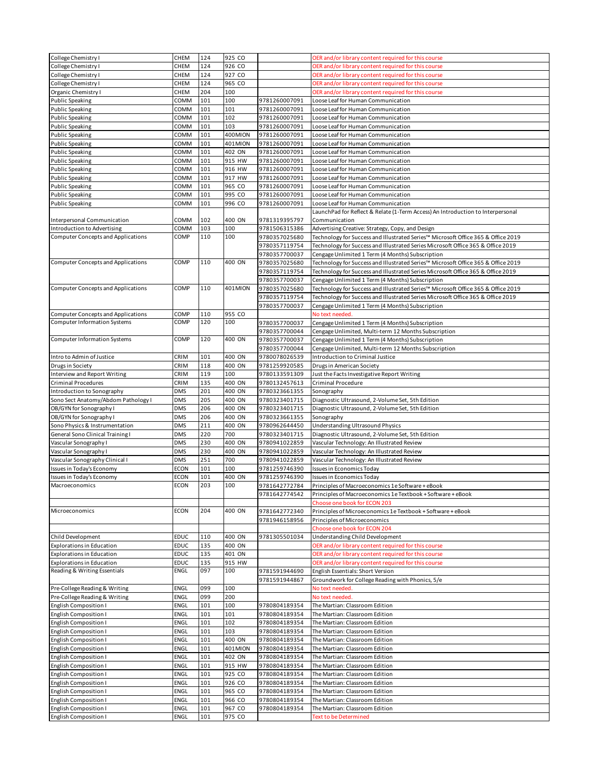| College Chemistry I                            | CHEM         | 124        | 925 CO           |               | OER and/or library content required for this course                               |
|------------------------------------------------|--------------|------------|------------------|---------------|-----------------------------------------------------------------------------------|
|                                                |              |            |                  |               |                                                                                   |
| College Chemistry I                            | <b>CHEM</b>  | 124        | 926 CO           |               | OER and/or library content required for this course                               |
| College Chemistry I                            | CHEM         | 124        | 927 CO           |               | OER and/or library content required for this course                               |
| College Chemistry I                            | <b>CHEM</b>  | 124        | 965 CO           |               | OER and/or library content required for this course                               |
| Organic Chemistry I                            | <b>CHEM</b>  | 204        | 100              |               | OER and/or library content required for this course                               |
| <b>Public Speaking</b>                         | COMM         | 101        | 100              | 9781260007091 | Loose Leaf for Human Communication                                                |
|                                                |              |            | 101              |               |                                                                                   |
| <b>Public Speaking</b>                         | COMM         | 101        |                  | 9781260007091 | Loose Leaf for Human Communication                                                |
| <b>Public Speaking</b>                         | COMM         | 101        | 102              | 9781260007091 | Loose Leaf for Human Communication                                                |
| <b>Public Speaking</b>                         | COMM         | 101        | 103              | 9781260007091 | Loose Leaf for Human Communication                                                |
| <b>Public Speaking</b>                         | COMM         | 101        | 400MION          | 9781260007091 | Loose Leaf for Human Communication                                                |
|                                                |              | 101        | 401MION          |               |                                                                                   |
| <b>Public Speaking</b>                         | COMM         |            |                  | 9781260007091 | Loose Leaf for Human Communication                                                |
| <b>Public Speaking</b>                         | COMM         | 101        | 402 ON           | 9781260007091 | Loose Leaf for Human Communication                                                |
| <b>Public Speaking</b>                         | COMM         | 101        | 915 HW           | 9781260007091 | Loose Leaf for Human Communication                                                |
| <b>Public Speaking</b>                         | COMM         | 101        | 916 HW           | 9781260007091 | Loose Leaf for Human Communication                                                |
| <b>Public Speaking</b>                         | COMM         | 101        | 917 HW           | 9781260007091 | Loose Leaf for Human Communication                                                |
|                                                |              |            |                  |               |                                                                                   |
| <b>Public Speaking</b>                         | COMM         | 101        | 965 CO           | 9781260007091 | Loose Leaf for Human Communication                                                |
| <b>Public Speaking</b>                         | COMM         | 101        | 995 CO           | 9781260007091 | Loose Leaf for Human Communication                                                |
| <b>Public Speaking</b>                         | COMM         | 101        | 996 CO           | 9781260007091 | Loose Leaf for Human Communication                                                |
|                                                |              |            |                  |               | LaunchPad for Reflect & Relate (1-Term Access) An Introduction to Interpersonal   |
| Interpersonal Communication                    | COMM         | 102        | 400 ON           | 9781319395797 | Communication                                                                     |
|                                                |              |            |                  |               |                                                                                   |
| Introduction to Advertising                    | COMM         | 103        | 100              | 9781506315386 | Advertising Creative: Strategy, Copy, and Design                                  |
| <b>Computer Concepts and Applications</b>      | COMP         | 110        | 100              | 9780357025680 | Technology for Success and Illustrated Series™ Microsoft Office 365 & Office 2019 |
|                                                |              |            |                  | 9780357119754 | Technology for Success and Illustrated Series Microsoft Office 365 & Office 2019  |
|                                                |              |            |                  | 9780357700037 | Cengage Unlimited 1 Term (4 Months) Subscription                                  |
| <b>Computer Concepts and Applications</b>      | COMP         | 110        | 400 ON           |               |                                                                                   |
|                                                |              |            |                  | 9780357025680 | Technology for Success and Illustrated Series™ Microsoft Office 365 & Office 2019 |
|                                                |              |            |                  | 9780357119754 | Technology for Success and Illustrated Series Microsoft Office 365 & Office 2019  |
|                                                |              |            |                  | 9780357700037 | Cengage Unlimited 1 Term (4 Months) Subscription                                  |
| <b>Computer Concepts and Applications</b>      | COMP         | 110        | 401MION          | 9780357025680 | Technology for Success and Illustrated Series™ Microsoft Office 365 & Office 2019 |
|                                                |              |            |                  | 9780357119754 |                                                                                   |
|                                                |              |            |                  |               | Technology for Success and Illustrated Series Microsoft Office 365 & Office 2019  |
|                                                |              |            |                  | 9780357700037 | Cengage Unlimited 1 Term (4 Months) Subscription                                  |
| <b>Computer Concepts and Applications</b>      | COMP         | 110        | 955 CO           |               | No text needed.                                                                   |
| Computer Information Systems                   | COMP         | 120        | 100              | 9780357700037 | Cengage Unlimited 1 Term (4 Months) Subscription                                  |
|                                                |              |            |                  | 9780357700044 |                                                                                   |
|                                                |              |            |                  |               | Cengage Unlimited, Multi-term 12 Months Subscription                              |
| <b>Computer Information Systems</b>            | COMP         | 120        | 400 ON           | 9780357700037 | Cengage Unlimited 1 Term (4 Months) Subscription                                  |
|                                                |              |            |                  | 9780357700044 | Cengage Unlimited, Multi-term 12 Months Subscription                              |
| Intro to Admin of Justice                      | CRIM         | 101        | 400 ON           | 9780078026539 | Introduction to Criminal Justice                                                  |
| Drugs in Society                               | CRIM         | 118        | 400 ON           | 9781259920585 | Drugs in American Society                                                         |
|                                                |              |            |                  |               |                                                                                   |
| Interview and Report Writing                   | CRIM         | 119        | 100              | 9780133591309 | Just the Facts Investigative Report Writing                                       |
| <b>Criminal Procedures</b>                     | CRIM         | 135        | 400 ON           | 9780132457613 | <b>Criminal Procedure</b>                                                         |
| Introduction to Sonography                     | <b>DMS</b>   | 201        | 400 ON           | 9780323661355 | Sonography                                                                        |
| Sono Sect Anatomy/Abdom Pathology I            | <b>DMS</b>   | 205        | 400 ON           | 9780323401715 | Diagnostic Ultrasound, 2-Volume Set, 5th Edition                                  |
|                                                |              |            |                  |               |                                                                                   |
| OB/GYN for Sonography I                        | <b>DMS</b>   | 206        | 400 ON           | 9780323401715 | Diagnostic Ultrasound, 2-Volume Set, 5th Edition                                  |
| OB/GYN for Sonography I                        | <b>DMS</b>   | 206        | 400 ON           | 9780323661355 | Sonography                                                                        |
| Sono Physics & Instrumentation                 | <b>DMS</b>   | 211        | 400 ON           | 9780962644450 | Understanding Ultrasound Physics                                                  |
| <b>General Sono Clinical Training I</b>        | <b>DMS</b>   | 220        | 700              | 9780323401715 | Diagnostic Ultrasound, 2-Volume Set, 5th Edition                                  |
|                                                | <b>DMS</b>   | 230        | 400 ON           |               | Vascular Technology: An Illustrated Review                                        |
| Vascular Sonography I                          |              |            |                  | 9780941022859 |                                                                                   |
| Vascular Sonography I                          | <b>DMS</b>   | 230        | 400 ON           | 9780941022859 | Vascular Technology: An Illustrated Review                                        |
| Vascular Sonography Clinical I                 | <b>DMS</b>   | 251        | 700              | 9780941022859 | Vascular Technology: An Illustrated Review                                        |
| Issues in Today's Economy                      | <b>ECON</b>  | 101        | 100              | 9781259746390 | <b>Issues in Economics Today</b>                                                  |
| Issues in Today's Economy                      | <b>ECON</b>  | 101        | 400 ON           | 9781259746390 | <b>Issues in Economics Today</b>                                                  |
|                                                | <b>ECON</b>  | 203        | 100              |               |                                                                                   |
| Macroeconomics                                 |              |            |                  | 9781642772784 | Principles of Macroeconomics 1e Software + eBook                                  |
|                                                |              |            |                  | 9781642774542 | Principles of Macroeconomics 1e Textbook + Software + eBook                       |
|                                                |              |            |                  |               |                                                                                   |
| Microeconomics                                 |              |            |                  |               | Choose one book for ECON 203                                                      |
|                                                |              |            |                  |               |                                                                                   |
|                                                | <b>ECON</b>  | 204        | 400 ON           | 9781642772340 | Principles of Microeconomics 1e Textbook + Software + eBook                       |
|                                                |              |            |                  | 9781946158956 | Principles of Microeconomics                                                      |
|                                                |              |            |                  |               | Choose one book for ECON 204                                                      |
| Child Development                              | <b>EDUC</b>  | 110        | 400 ON           | 9781305501034 | Understanding Child Development                                                   |
| <b>Explorations in Education</b>               | EDUC         | 135        | 400 ON           |               |                                                                                   |
|                                                |              |            |                  |               | OER and/or library content required for this course                               |
| <b>Explorations in Education</b>               | EDUC         | 135        | 401 ON           |               | OER and/or library content required for this course                               |
| <b>Explorations in Education</b>               | <b>EDUC</b>  | 135        | 915 HW           |               | OER and/or library content required for this course                               |
| Reading & Writing Essentials                   | ENGL         | 097        | 100              | 9781591944690 | English Essentials: Short Version                                                 |
|                                                |              |            |                  | 9781591944867 | Groundwork for College Reading with Phonics, 5/e                                  |
|                                                |              |            |                  |               |                                                                                   |
| Pre-College Reading & Writing                  | <b>ENGL</b>  | 099        | 100              |               | No text needed.                                                                   |
| Pre-College Reading & Writing                  | ENGL         | 099        | 200              |               | No text needed.                                                                   |
| English Composition I                          | <b>ENGL</b>  | 101        | 100              | 9780804189354 | The Martian: Classroom Edition                                                    |
| English Composition I                          | <b>ENGL</b>  | 101        | 101              | 9780804189354 | The Martian: Classroom Edition                                                    |
| English Composition I                          | <b>ENGL</b>  | 101        | 102              | 9780804189354 | The Martian: Classroom Edition                                                    |
|                                                |              |            |                  |               |                                                                                   |
| English Composition I                          | <b>ENGL</b>  | 101        | 103              | 9780804189354 | The Martian: Classroom Edition                                                    |
| English Composition I                          | <b>ENGL</b>  | 101        | 400 ON           | 9780804189354 | The Martian: Classroom Edition                                                    |
| English Composition I                          | <b>ENGL</b>  | 101        | 401MION          | 9780804189354 | The Martian: Classroom Edition                                                    |
| English Composition I                          | ENGL         | 101        | 402 ON           | 9780804189354 | The Martian: Classroom Edition                                                    |
|                                                |              |            |                  |               |                                                                                   |
| English Composition I                          | ENGL         | 101        | 915 HW           | 9780804189354 | The Martian: Classroom Edition                                                    |
| English Composition I                          | <b>ENGL</b>  | 101        | 925 CO           | 9780804189354 | The Martian: Classroom Edition                                                    |
| English Composition I                          | ENGL         | 101        | 926 CO           | 9780804189354 | The Martian: Classroom Edition                                                    |
| English Composition I                          | <b>ENGL</b>  | 101        | 965 CO           | 9780804189354 | The Martian: Classroom Edition                                                    |
|                                                |              |            |                  |               |                                                                                   |
| English Composition I                          | ENGL         | 101        | 966 CO           | 9780804189354 | The Martian: Classroom Edition                                                    |
| English Composition I<br>English Composition I | ENGL<br>ENGL | 101<br>101 | 967 CO<br>975 CO | 9780804189354 | The Martian: Classroom Edition<br><b>Text to be Determined</b>                    |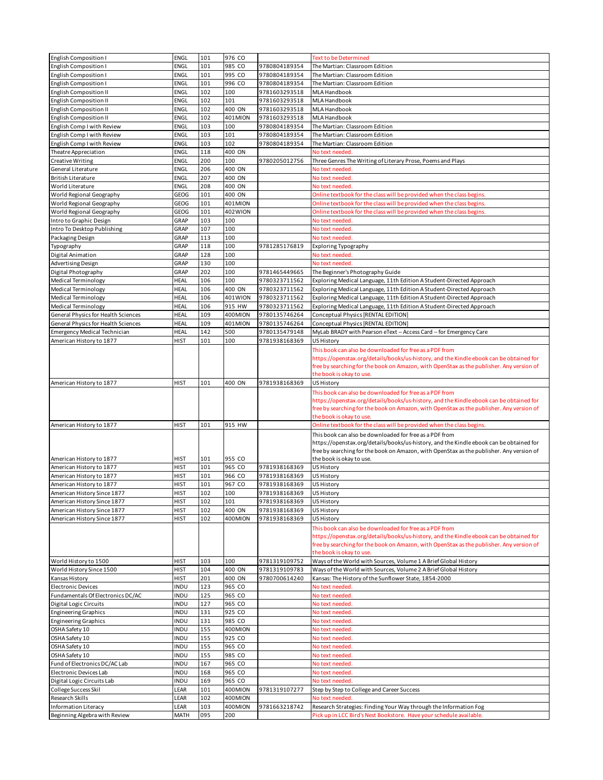| English Composition I                                 | ENGL         | 101        | 976 CO         |               | <b>Text to be Determined</b>                                                                                                             |
|-------------------------------------------------------|--------------|------------|----------------|---------------|------------------------------------------------------------------------------------------------------------------------------------------|
|                                                       |              |            |                |               |                                                                                                                                          |
| <b>English Composition I</b>                          | ENGL         | 101        | 985 CO         | 9780804189354 | The Martian: Classroom Edition                                                                                                           |
| English Composition I                                 | ENGL         | 101        | 995 CO         | 9780804189354 | The Martian: Classroom Edition                                                                                                           |
| English Composition I                                 | ENGL         | 101        | 996 CO         | 9780804189354 | The Martian: Classroom Edition                                                                                                           |
| English Composition II                                | <b>ENGL</b>  | 102        | 100            | 9781603293518 | MLA Handbook                                                                                                                             |
| <b>English Composition II</b>                         | ENGL         | 102        | 101            | 9781603293518 | MLA Handbook                                                                                                                             |
|                                                       |              |            |                |               |                                                                                                                                          |
| <b>English Composition II</b>                         | ENGL         | 102        | 400 ON         | 9781603293518 | MLA Handbook                                                                                                                             |
| <b>English Composition II</b>                         | ENGL         | 102        | 401MION        | 9781603293518 | MLA Handbook                                                                                                                             |
| English Comp I with Review                            | ENGL         | 103        | 100            | 9780804189354 | The Martian: Classroom Edition                                                                                                           |
| English Comp I with Review                            | <b>ENGL</b>  | 103        | 101            | 9780804189354 | The Martian: Classroom Edition                                                                                                           |
|                                                       |              | 103        | 102            |               |                                                                                                                                          |
| English Comp I with Review                            | ENGL         |            |                | 9780804189354 | The Martian: Classroom Edition                                                                                                           |
| Theatre Appreciation                                  | ENGL         | 118        | 400 ON         |               | No text needed.                                                                                                                          |
| Creative Writing                                      | ENGL         | 200        | 100            | 9780205012756 | Three Genres The Writing of Literary Prose, Poems and Plays                                                                              |
| General Literature                                    | ENGL         | 206        | 400 ON         |               | No text needed.                                                                                                                          |
| <b>British Literature</b>                             | <b>ENGL</b>  | 207        | 400 ON         |               | No text needed.                                                                                                                          |
|                                                       |              |            |                |               |                                                                                                                                          |
| World Literature                                      | ENGL         | 208        | 400 ON         |               | No text needed.                                                                                                                          |
| World Regional Geography                              | GEOG         | 101        | 400 ON         |               | Online textbook for the class will be provided when the class begins.                                                                    |
| World Regional Geography                              | <b>GEOG</b>  | 101        | 401MION        |               | Online textbook for the class will be provided when the class begins.                                                                    |
| World Regional Geography                              | GEOG         | 101        | 402WION        |               | Online textbook for the class will be provided when the class begins.                                                                    |
|                                                       |              |            |                |               |                                                                                                                                          |
| Intro to Graphic Design                               | GRAP         | 103        | 100            |               | No text needed.                                                                                                                          |
| Intro To Desktop Publishing                           | GRAP         | 107        | 100            |               | No text needed.                                                                                                                          |
| Packaging Design                                      | GRAP         | 113        | 100            |               | No text needed.                                                                                                                          |
| Typography                                            | GRAP         | 118        | 100            | 9781285176819 | Exploring Typography                                                                                                                     |
|                                                       |              |            |                |               |                                                                                                                                          |
| Digital Animation                                     | GRAP         | 128        | 100            |               | No text needed.                                                                                                                          |
| Advertising Design                                    | GRAP         | 130        | 100            |               | No text needed.                                                                                                                          |
| Digital Photography                                   | GRAP         | 202        | 100            | 9781465449665 | The Beginner's Photography Guide                                                                                                         |
| Medical Terminology                                   | HEAL         | 106        | 100            | 9780323711562 | Exploring Medical Language, 11th Edition A Student-Directed Approach                                                                     |
|                                                       |              |            |                |               |                                                                                                                                          |
| <b>Medical Terminology</b>                            | HEAL         | 106        | 400 ON         | 9780323711562 | Exploring Medical Language, 11th Edition A Student-Directed Approach                                                                     |
| <b>Medical Terminology</b>                            | HEAL         | 106        | 401WION        | 9780323711562 | Exploring Medical Language, 11th Edition A Student-Directed Approach                                                                     |
| <b>Medical Terminology</b>                            | <b>HEAL</b>  | 106        | 915 HW         | 9780323711562 | Exploring Medical Language, 11th Edition A Student-Directed Approach                                                                     |
| General Physics for Health Sciences                   | <b>HEAL</b>  | 109        | 400MION        | 9780135746264 | Conceptual Physics [RENTAL EDITION]                                                                                                      |
| <b>General Physics for Health Sciences</b>            |              |            |                | 9780135746264 |                                                                                                                                          |
|                                                       | HEAL         | 109        | 401MION        |               | Conceptual Physics [RENTAL EDITION]                                                                                                      |
| <b>Emergency Medical Technician</b>                   | HEAL         | 142        | 500            | 9780135479148 | MyLab BRADY with Pearson eText -- Access Card -- for Emergency Care                                                                      |
| American History to 1877                              | HIST         | 101        | 100            | 9781938168369 | <b>US History</b>                                                                                                                        |
|                                                       |              |            |                |               | This book can also be downloaded for free as a PDF from                                                                                  |
|                                                       |              |            |                |               |                                                                                                                                          |
|                                                       |              |            |                |               | https://openstax.org/details/books/us-history, and the Kindle ebook can be obtained for                                                  |
|                                                       |              |            |                |               | free by searching for the book on Amazon, with OpenStax as the publisher. Any version of                                                 |
|                                                       |              |            |                |               | the book is okay to use.                                                                                                                 |
| American History to 1877                              | <b>HIST</b>  | 101        | 400 ON         | 9781938168369 | US History                                                                                                                               |
|                                                       |              |            |                |               | This book can also be downloaded for free as a PDF from                                                                                  |
|                                                       |              |            |                |               |                                                                                                                                          |
|                                                       |              |            |                |               | https://openstax.org/details/books/us-history, and the Kindle ebook can be obtained for                                                  |
|                                                       |              |            |                |               | free by searching for the book on Amazon, with OpenStax as the publisher. Any version of                                                 |
|                                                       |              |            |                |               | the book is okay to use.                                                                                                                 |
| American History to 1877                              | <b>HIST</b>  | 101        | 915 HW         |               | Online textbook for the class will be provided when the class begins.                                                                    |
|                                                       |              |            |                |               |                                                                                                                                          |
|                                                       |              |            |                |               | This book can also be downloaded for free as a PDF from                                                                                  |
|                                                       |              |            |                |               | https://openstax.org/details/books/us-history, and the Kindle ebook can be obtained for                                                  |
|                                                       |              |            |                |               | free by searching for the book on Amazon, with OpenStax as the publisher. Any version of                                                 |
| American History to 1877                              | HIST         | 101        | 955 CO         |               | the book is okay to use.                                                                                                                 |
|                                                       | <b>HIST</b>  | 101        | 965 CO         | 9781938168369 |                                                                                                                                          |
| American History to 1877                              |              |            |                |               | US History                                                                                                                               |
| American History to 1877                              | HIST         | 101        | 966 CO         | 9781938168369 | US History                                                                                                                               |
| American History to 1877                              | <b>HIST</b>  | 101        | 967 CO         | 9781938168369 | <b>US History</b>                                                                                                                        |
| American History Since 1877                           | HIST         | 102        | 100            | 9781938168369 | US History                                                                                                                               |
| American History Since 1877                           |              |            | 101            | 9781938168369 | <b>US History</b>                                                                                                                        |
|                                                       | <b>HIST</b>  | 102        |                |               |                                                                                                                                          |
| American History Since 1877                           | <b>HIST</b>  | 102        | 400 ON         | 9781938168369 | US History                                                                                                                               |
| American History Since 1877                           | <b>HIST</b>  | 102        | 400MION        | 9781938168369 | US History                                                                                                                               |
|                                                       |              |            |                |               | This book can also be downloaded for free as a PDF from                                                                                  |
|                                                       |              |            |                |               |                                                                                                                                          |
|                                                       |              |            |                |               |                                                                                                                                          |
|                                                       |              |            |                |               | https://openstax.org/details/books/us-history, and the Kindle ebook can be obtained for                                                  |
|                                                       |              |            |                |               | free by searching for the book on Amazon, with OpenStax as the publisher. Any version of                                                 |
|                                                       |              |            |                |               | the book is okay to use.                                                                                                                 |
| World History to 1500                                 | HIST         | 103        | 100            | 9781319109752 | Ways of the World with Sources, Volume 1 A Brief Global History                                                                          |
|                                                       |              |            |                |               |                                                                                                                                          |
| World History Since 1500                              | <b>HIST</b>  | 104        | 400 ON         | 9781319109783 | Ways of the World with Sources, Volume 2 A Brief Global History                                                                          |
| Kansas History                                        | <b>HIST</b>  | 201        | 400 ON         | 9780700614240 | Kansas: The History of the Sunflower State, 1854-2000                                                                                    |
| <b>Electronic Devices</b>                             | INDU         | 123        | 965 CO         |               | No text needed.                                                                                                                          |
| Fundamentals Of Electronics DC/AC                     | INDU         | 125        | 965 CO         |               | No text needed.                                                                                                                          |
|                                                       |              |            |                |               |                                                                                                                                          |
| <b>Digital Logic Circuits</b>                         | INDU         | 127        | 965 CO         |               | No text needed.                                                                                                                          |
| <b>Engineering Graphics</b>                           | INDU         | 131        | 925 CO         |               | No text needed.                                                                                                                          |
| <b>Engineering Graphics</b>                           | INDU         | 131        | 985 CO         |               | No text needed.                                                                                                                          |
| OSHA Safety 10                                        | INDU         | 155        | 400MION        |               | No text needed.                                                                                                                          |
|                                                       |              |            |                |               |                                                                                                                                          |
| OSHA Safety 10                                        | INDU         | 155        | 925 CO         |               | No text needed                                                                                                                           |
| OSHA Safety 10                                        | INDU         | 155        | 965 CO         |               | No text needed                                                                                                                           |
| OSHA Safety 10                                        | INDU         | 155        | 985 CO         |               | No text needed.                                                                                                                          |
| Fund of Electronics DC/AC Lab                         | <b>INDU</b>  | 167        | 965 CO         |               | No text needed.                                                                                                                          |
|                                                       |              |            |                |               |                                                                                                                                          |
| Electronic Devices Lab                                | INDU         | 168        | 965 CO         |               | No text needed.                                                                                                                          |
| Digital Logic Circuits Lab                            | INDU         | 169        | 965 CO         |               | No text needed.                                                                                                                          |
| College Success Skil                                  | LEAR         | 101        | 400MION        | 9781319107277 | Step by Step to College and Career Success                                                                                               |
| Research Skills                                       | LEAR         | 102        | 400MION        |               | No text needed.                                                                                                                          |
|                                                       |              |            |                |               |                                                                                                                                          |
| Information Literacy<br>Beginning Algebra with Review | LEAR<br>MATH | 103<br>095 | 400MION<br>200 | 9781663218742 | Research Strategies: Finding Your Way through the Information Fog<br>Pick up in LCC Bird's Nest Bookstore. Have your schedule available. |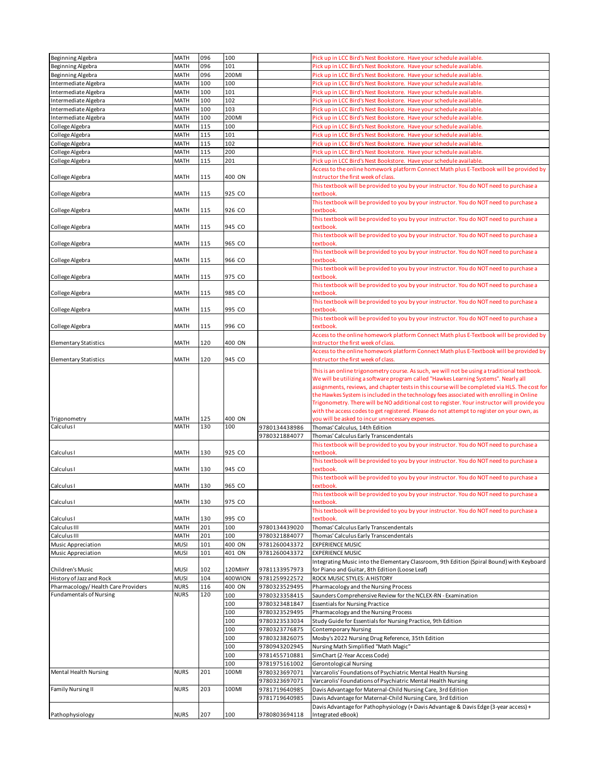|                                    |             | 096 | 100     |               |                                                                                                            |
|------------------------------------|-------------|-----|---------|---------------|------------------------------------------------------------------------------------------------------------|
| Beginning Algebra                  | <b>MATH</b> |     |         |               | Pick up in LCC Bird's Nest Bookstore. Have your schedule available.                                        |
| Beginning Algebra                  | MATH        | 096 | 101     |               | Pick up in LCC Bird's Nest Bookstore. Have your schedule available.                                        |
| Beginning Algebra                  | <b>MATH</b> | 096 | 200MI   |               | Pick up in LCC Bird's Nest Bookstore. Have your schedule available.                                        |
| Intermediate Algebra               | MATH        | 100 | 100     |               | Pick up in LCC Bird's Nest Bookstore. Have your schedule available.                                        |
|                                    |             |     |         |               |                                                                                                            |
| Intermediate Algebra               | <b>MATH</b> | 100 | 101     |               | Pick up in LCC Bird's Nest Bookstore. Have your schedule available.                                        |
| Intermediate Algebra               | <b>MATH</b> | 100 | 102     |               | Pick up in LCC Bird's Nest Bookstore. Have your schedule available.                                        |
| Intermediate Algebra               | <b>MATH</b> | 100 | 103     |               | Pick up in LCC Bird's Nest Bookstore. Have your schedule available.                                        |
|                                    |             |     |         |               |                                                                                                            |
| Intermediate Algebra               | <b>MATH</b> | 100 | 200MI   |               | Pick up in LCC Bird's Nest Bookstore. Have your schedule available.                                        |
| College Algebra                    | <b>MATH</b> | 115 | 100     |               | Pick up in LCC Bird's Nest Bookstore. Have your schedule available                                         |
|                                    |             | 115 | 101     |               |                                                                                                            |
| College Algebra                    | <b>MATH</b> |     |         |               | Pick up in LCC Bird's Nest Bookstore. Have your schedule available.                                        |
| College Algebra                    | <b>MATH</b> | 115 | 102     |               | Pick up in LCC Bird's Nest Bookstore. Have your schedule available.                                        |
| College Algebra                    | <b>MATH</b> | 115 | 200     |               | Pick up in LCC Bird's Nest Bookstore. Have your schedule available.                                        |
|                                    |             |     |         |               |                                                                                                            |
| College Algebra                    | <b>MATH</b> | 115 | 201     |               | Pick up in LCC Bird's Nest Bookstore. Have your schedule available.                                        |
|                                    |             |     |         |               | Access to the online homework platform Connect Math plus E-Textbook will be provided by                    |
| College Algebra                    | <b>MATH</b> | 115 | 400 ON  |               | Instructor the first week of class.                                                                        |
|                                    |             |     |         |               |                                                                                                            |
|                                    |             |     |         |               | This textbook will be provided to you by your instructor. You do NOT need to purchase a                    |
| College Algebra                    | MATH        | 115 | 925 CO  |               | textbook.                                                                                                  |
|                                    |             |     |         |               | This textbook will be provided to you by your instructor. You do NOT need to purchase a                    |
|                                    |             |     |         |               |                                                                                                            |
| College Algebra                    | <b>MATH</b> | 115 | 926 CO  |               | textbook.                                                                                                  |
|                                    |             |     |         |               | This textbook will be provided to you by your instructor. You do NOT need to purchase a                    |
| College Algebra                    | <b>MATH</b> | 115 | 945 CO  |               | textbook.                                                                                                  |
|                                    |             |     |         |               |                                                                                                            |
|                                    |             |     |         |               | This textbook will be provided to you by your instructor. You do NOT need to purchase a                    |
| College Algebra                    | MATH        | 115 | 965 CO  |               | textbook                                                                                                   |
|                                    |             |     |         |               | This textbook will be provided to you by your instructor. You do NOT need to purchase a                    |
|                                    |             |     |         |               |                                                                                                            |
| College Algebra                    | <b>MATH</b> | 115 | 966 CO  |               | textbook.                                                                                                  |
|                                    |             |     |         |               | This textbook will be provided to you by your instructor. You do NOT need to purchase a                    |
| College Algebra                    | MATH        | 115 | 975 CO  |               | textbook.                                                                                                  |
|                                    |             |     |         |               |                                                                                                            |
|                                    |             |     |         |               | This textbook will be provided to you by your instructor. You do NOT need to purchase a                    |
| College Algebra                    | MATH        | 115 | 985 CO  |               | textbook.                                                                                                  |
|                                    |             |     |         |               | This textbook will be provided to you by your instructor. You do NOT need to purchase a                    |
| College Algebra                    | <b>MATH</b> | 115 | 995 CO  |               |                                                                                                            |
|                                    |             |     |         |               | textbook.                                                                                                  |
|                                    |             |     |         |               | This textbook will be provided to you by your instructor. You do NOT need to purchase a                    |
| College Algebra                    | <b>MATH</b> | 115 | 996 CO  |               | textbook.                                                                                                  |
|                                    |             |     |         |               |                                                                                                            |
|                                    |             |     |         |               | Access to the online homework platform Connect Math plus E-Textbook will be provided by                    |
| Elementary Statistics              | <b>MATH</b> | 120 | 400 ON  |               | Instructor the first week of class.                                                                        |
|                                    |             |     |         |               | Access to the online homework platform Connect Math plus E-Textbook will be provided by                    |
|                                    |             |     |         |               |                                                                                                            |
| <b>Elementary Statistics</b>       | <b>MATH</b> | 120 | 945 CO  |               | Instructor the first week of class.                                                                        |
|                                    |             |     |         |               |                                                                                                            |
|                                    |             |     |         |               | This is an online trigonometry course. As such, we will not be using a traditional textbook.               |
|                                    |             |     |         |               | We will be utilizing a software program called "Hawkes Learning Systems". Nearly all                       |
|                                    |             |     |         |               | assignments, reviews, and chapter tests in this course will be completed via HLS. The cost for             |
|                                    |             |     |         |               | the Hawkes System is included in the technology fees associated with enrolling in Online                   |
|                                    |             |     |         |               |                                                                                                            |
|                                    |             |     |         |               |                                                                                                            |
|                                    |             |     |         |               | Trigonometry. There will be NO additional cost to register. Your instructor will provide you               |
|                                    |             |     |         |               |                                                                                                            |
|                                    |             |     |         |               | with the access codes to get registered. Please do not attempt to register on your own, as                 |
| Trigonometry                       | MATH        | 125 | 400 ON  |               | you will be asked to incur unnecessary expenses.                                                           |
| Calculus I                         | <b>MATH</b> | 130 | 100     | 9780134438986 | Thomas' Calculus, 14th Edition                                                                             |
|                                    |             |     |         | 9780321884077 | Thomas' Calculus Early Transcendentals                                                                     |
|                                    |             |     |         |               |                                                                                                            |
|                                    |             |     |         |               | This textbook will be provided to you by your instructor. You do NOT need to purchase a                    |
| Calculus I                         | MATH        | 130 | 925 CO  |               | textbook.                                                                                                  |
|                                    |             |     |         |               |                                                                                                            |
|                                    |             |     |         |               | This textbook will be provided to you by your instructor. You do NOT need to purchase a                    |
| Calculus I                         | <b>MATH</b> | 130 | 945 CO  |               | textbook.                                                                                                  |
|                                    |             |     |         |               | This textbook will be provided to you by your instructor. You do NOT need to purchase a                    |
| Calculus I                         | MATH        | 130 | 965 CO  |               | textbook.                                                                                                  |
|                                    |             |     |         |               |                                                                                                            |
|                                    |             |     |         |               | This textbook will be provided to you by your instructor. You do NOT need to purchase a                    |
| Calculus I                         | <b>MATH</b> | 130 | 975 CO  |               | textbook.                                                                                                  |
|                                    |             |     |         |               | This textbook will be provided to you by your instructor. You do NOT need to purchase a                    |
|                                    |             |     |         |               |                                                                                                            |
| Calculus I                         | <b>MATH</b> | 130 | 995 CO  |               | textbook.                                                                                                  |
| Calculus III                       | <b>MATH</b> | 201 | 100     | 9780134439020 | Thomas' Calculus Early Transcendentals                                                                     |
| Calculus III                       | MATH        | 201 | 100     | 9780321884077 | Thomas' Calculus Early Transcendentals                                                                     |
|                                    |             |     |         |               |                                                                                                            |
| Music Appreciation                 | <b>MUSI</b> | 101 | 400 ON  | 9781260043372 | <b>EXPERIENCE MUSIC</b>                                                                                    |
| Music Appreciation                 | <b>MUSI</b> | 101 | 401 ON  | 9781260043372 | <b>EXPERIENCE MUSIC</b>                                                                                    |
|                                    |             |     |         |               | Integrating Music into the Elementary Classroom, 9th Edition (Spiral Bound) with Keyboard                  |
|                                    |             |     |         |               |                                                                                                            |
| Children's Music                   | <b>MUSI</b> | 102 | 120MIHY | 9781133957973 | for Piano and Guitar, 8th Edition (Loose Leaf)                                                             |
| History of Jazz and Rock           | <b>MUSI</b> | 104 | 400WION | 9781259922572 | ROCK MUSIC STYLES: A HISTORY                                                                               |
|                                    |             | 116 |         | 9780323529495 | Pharmacology and the Nursing Process                                                                       |
| Pharmacology/Health Care Providers | <b>NURS</b> |     | 400 ON  |               |                                                                                                            |
| <b>Fundamentals of Nursing</b>     | <b>NURS</b> | 120 | 100     | 9780323358415 | Saunders Comprehensive Review for the NCLEX-RN - Examination                                               |
|                                    |             |     | 100     | 9780323481847 | <b>Essentials for Nursing Practice</b>                                                                     |
|                                    |             |     |         |               |                                                                                                            |
|                                    |             |     | 100     | 9780323529495 | Pharmacology and the Nursing Process                                                                       |
|                                    |             |     | 100     | 9780323533034 | Study Guide for Essentials for Nursing Practice, 9th Edition                                               |
|                                    |             |     | 100     | 9780323776875 | <b>Contemporary Nursing</b>                                                                                |
|                                    |             |     |         |               |                                                                                                            |
|                                    |             |     | 100     | 9780323826075 | Mosby's 2022 Nursing Drug Reference, 35th Edition                                                          |
|                                    |             |     | 100     | 9780943202945 | Nursing Math Simplified "Math Magic"                                                                       |
|                                    |             |     |         |               |                                                                                                            |
|                                    |             |     | 100     | 9781455710881 | SimChart (2-Year Access Code)                                                                              |
|                                    |             |     | 100     | 9781975161002 | <b>Gerontological Nursing</b>                                                                              |
| <b>Mental Health Nursing</b>       | <b>NURS</b> | 201 | 100MI   | 9780323697071 | Varcarolis' Foundations of Psychiatric Mental Health Nursing                                               |
|                                    |             |     |         |               |                                                                                                            |
|                                    |             |     |         | 9780323697071 | Varcarolis' Foundations of Psychiatric Mental Health Nursing                                               |
| <b>Family Nursing II</b>           | <b>NURS</b> | 203 | 100MI   | 9781719640985 | Davis Advantage for Maternal-Child Nursing Care, 3rd Edition                                               |
|                                    |             |     |         |               |                                                                                                            |
|                                    |             |     |         | 9781719640985 | Davis Advantage for Maternal-Child Nursing Care, 3rd Edition                                               |
| Pathophysiology                    | <b>NURS</b> | 207 | 100     | 9780803694118 | Davis Advantage for Pathophysiology (+ Davis Advantage & Davis Edge (3-year access) +<br>Integrated eBook) |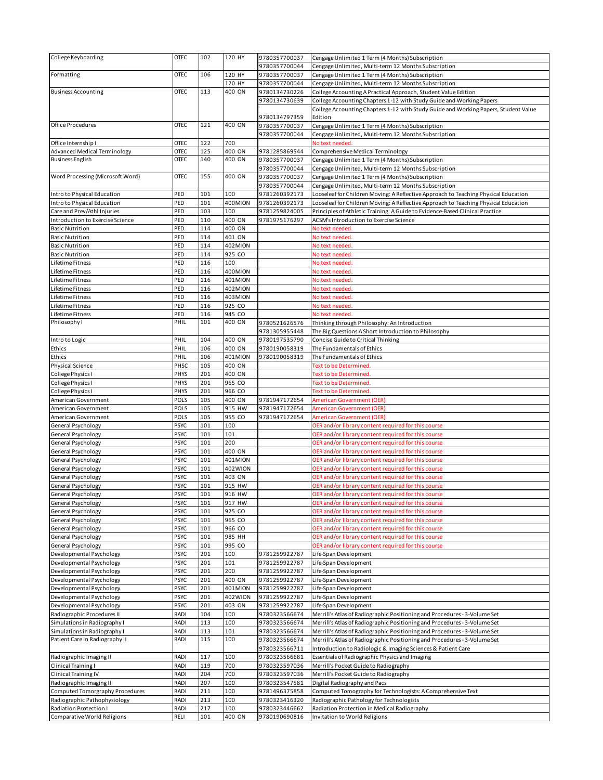| College Keyboarding                 | <b>OTEC</b> | 102 | 120 HY  | 9780357700037 | Cengage Unlimited 1 Term (4 Months) Subscription                                    |
|-------------------------------------|-------------|-----|---------|---------------|-------------------------------------------------------------------------------------|
|                                     |             |     |         |               |                                                                                     |
|                                     |             |     |         | 9780357700044 | Cengage Unlimited, Multi-term 12 Months Subscription                                |
| Formatting                          | <b>OTEC</b> | 106 | 120 HY  | 9780357700037 | Cengage Unlimited 1 Term (4 Months) Subscription                                    |
|                                     |             |     | 120 HY  | 9780357700044 | Cengage Unlimited, Multi-term 12 Months Subscription                                |
| <b>Business Accounting</b>          | <b>OTEC</b> | 113 | 400 ON  | 9780134730226 | College Accounting A Practical Approach, Student Value Edition                      |
|                                     |             |     |         |               |                                                                                     |
|                                     |             |     |         | 9780134730639 | College Accounting Chapters 1-12 with Study Guide and Working Papers                |
|                                     |             |     |         |               | College Accounting Chapters 1-12 with Study Guide and Working Papers, Student Value |
|                                     |             |     |         | 9780134797359 | Edition                                                                             |
| Office Procedures                   | <b>OTEC</b> | 121 | 400 ON  | 9780357700037 | Cengage Unlimited 1 Term (4 Months) Subscription                                    |
|                                     |             |     |         |               |                                                                                     |
|                                     |             |     |         | 9780357700044 | Cengage Unlimited, Multi-term 12 Months Subscription                                |
| Office Internship I                 | <b>OTEC</b> | 122 | 700     |               | No text needed                                                                      |
| <b>Advanced Medical Terminology</b> | <b>OTEC</b> | 125 | 400 ON  | 9781285869544 | Comprehensive Medical Terminology                                                   |
| <b>Business English</b>             | <b>OTEC</b> | 140 | 400 ON  | 9780357700037 | Cengage Unlimited 1 Term (4 Months) Subscription                                    |
|                                     |             |     |         |               |                                                                                     |
|                                     |             |     |         | 9780357700044 | Cengage Unlimited, Multi-term 12 Months Subscription                                |
| Word Processing (Microsoft Word)    | <b>OTEC</b> | 155 | 400 ON  | 9780357700037 | Cengage Unlimited 1 Term (4 Months) Subscription                                    |
|                                     |             |     |         | 9780357700044 | Cengage Unlimited, Multi-term 12 Months Subscription                                |
| Intro to Physical Education         | PED         | 101 | 100     | 9781260392173 | Looseleaf for Children Moving: A Reflective Approach to Teaching Physical Education |
|                                     |             |     |         |               |                                                                                     |
| Intro to Physical Education         | PED         | 101 | 400MION | 9781260392173 | Looseleaf for Children Moving: A Reflective Approach to Teaching Physical Education |
| Care and Prev/Athl Injuries         | PED         | 103 | 100     | 9781259824005 | Principles of Athletic Training: A Guide to Evidence-Based Clinical Practice        |
| Introduction to Exercise Science    | PED         | 110 | 400 ON  | 9781975176297 | ACSM's Introduction to Exercise Science                                             |
| <b>Basic Nutrition</b>              | PED         | 114 | 400 ON  |               | No text needed                                                                      |
|                                     |             |     |         |               |                                                                                     |
| <b>Basic Nutrition</b>              | PED         | 114 | 401 ON  |               | No text needed                                                                      |
| <b>Basic Nutrition</b>              | PED         | 114 | 402MION |               | No text needed.                                                                     |
| <b>Basic Nutrition</b>              | PED         | 114 | 925 CO  |               | No text needed                                                                      |
| Lifetime Fitness                    | PED         | 116 | 100     |               |                                                                                     |
|                                     |             |     |         |               | No text needed.                                                                     |
| Lifetime Fitness                    | PED         | 116 | 400MION |               | No text needed.                                                                     |
| Lifetime Fitness                    | PED         | 116 | 401MION |               | No text needed.                                                                     |
| Lifetime Fitness                    | PED         | 116 | 402MION |               | No text needed.                                                                     |
|                                     |             | 116 |         |               |                                                                                     |
| Lifetime Fitness                    | PED         |     | 403MION |               | No text needed.                                                                     |
| Lifetime Fitness                    | PED         | 116 | 925 CO  |               | No text needed.                                                                     |
| Lifetime Fitness                    | PED         | 116 | 945 CO  |               | No text needed                                                                      |
| Philosophy I                        | PHIL        | 101 | 400 ON  | 9780521626576 | Thinking through Philosophy: An Introduction                                        |
|                                     |             |     |         |               |                                                                                     |
|                                     |             |     |         | 9781305955448 | The Big Questions A Short Introduction to Philosophy                                |
| Intro to Logic                      | PHIL        | 104 | 400 ON  | 9780197535790 | Concise Guide to Critical Thinking                                                  |
| Ethics                              | PHIL        | 106 | 400 ON  | 9780190058319 | The Fundamentals of Ethics                                                          |
|                                     | PHIL        |     |         |               |                                                                                     |
| Ethics                              |             | 106 | 401MION | 9780190058319 | The Fundamentals of Ethics                                                          |
| Physical Science                    | PHSC        | 105 | 400 ON  |               | <b>Text to be Determined</b>                                                        |
| College Physics I                   | PHYS        | 201 | 400 ON  |               | Text to be Determined.                                                              |
| College Physics I                   | <b>PHYS</b> | 201 | 965 CO  |               | Text to be Determined.                                                              |
|                                     |             |     |         |               |                                                                                     |
| College Physics I                   | PHYS        | 201 | 966 CO  |               | <b>Text to be Determined</b>                                                        |
| American Government                 | POLS        | 105 | 400 ON  | 9781947172654 | <b>American Government (OER)</b>                                                    |
| American Government                 | POLS        | 105 | 915 HW  | 9781947172654 | <b>American Government (OER)</b>                                                    |
| American Government                 | POLS        | 105 | 955 CO  | 9781947172654 | American Government (OER)                                                           |
|                                     |             |     |         |               |                                                                                     |
| General Psychology                  | <b>PSYC</b> | 101 | 100     |               | OER and/or library content required for this course                                 |
| General Psychology                  | <b>PSYC</b> | 101 | 101     |               | OER and/or library content required for this course                                 |
| General Psychology                  | <b>PSYC</b> | 101 | 200     |               | OER and/or library content required for this course                                 |
| General Psychology                  | <b>PSYC</b> | 101 | 400 ON  |               | OER and/or library content required for this course                                 |
|                                     |             |     |         |               |                                                                                     |
| General Psychology                  | <b>PSYC</b> | 101 | 401MION |               | OER and/or library content required for this course                                 |
| General Psychology                  | <b>PSYC</b> | 101 | 402WION |               | OER and/or library content required for this course                                 |
| General Psychology                  | <b>PSYC</b> | 101 | 403 ON  |               | OER and/or library content required for this course                                 |
| General Psychology                  | <b>PSYC</b> | 101 | 915 HW  |               | OER and/or library content required for this course                                 |
|                                     |             |     |         |               |                                                                                     |
| General Psychology                  | <b>PSYC</b> | 101 | 916 HW  |               | OER and/or library content required for this course                                 |
| General Psychology                  | <b>PSYC</b> | 101 | 917 HW  |               | OER and/or library content required for this course                                 |
| General Psychology                  | <b>PSYC</b> | 101 | 925 CO  |               | OER and/or library content required for this course                                 |
| General Psychology                  | <b>PSYC</b> | 101 | 965 CO  |               | OER and/or library content required for this course                                 |
|                                     |             |     |         |               |                                                                                     |
| General Psychology                  | <b>PSYC</b> | 101 | 966 CO  |               | OER and/or library content required for this course                                 |
| General Psychology                  | <b>PSYC</b> | 101 | 985 HH  |               | OER and/or library content required for this course                                 |
| General Psychology                  | <b>PSYC</b> | 101 | 995 CO  |               | OER and/or library content required for this course                                 |
| Developmental Psychology            | <b>PSYC</b> | 201 | 100     | 9781259922787 | Life-Span Development                                                               |
|                                     |             |     |         |               |                                                                                     |
| Developmental Psychology            | <b>PSYC</b> | 201 | 101     | 9781259922787 | Life-Span Development                                                               |
| Developmental Psychology            | <b>PSYC</b> | 201 | 200     | 9781259922787 | Life-Span Development                                                               |
| Developmental Psychology            | <b>PSYC</b> | 201 | 400 ON  | 9781259922787 | Life-Span Development                                                               |
| Developmental Psychology            | <b>PSYC</b> | 201 | 401MION | 9781259922787 | Life-Span Development                                                               |
|                                     |             |     |         |               |                                                                                     |
| Developmental Psychology            | <b>PSYC</b> | 201 | 402WION | 9781259922787 | Life-Span Development                                                               |
| Developmental Psychology            | <b>PSYC</b> | 201 | 403 ON  | 9781259922787 | Life-Span Development                                                               |
| Radiographic Procedures II          | RADI        | 104 | 100     | 9780323566674 | Merrill's Atlas of Radiographic Positioning and Procedures - 3-Volume Set           |
|                                     |             |     | 100     |               |                                                                                     |
| Simulations in Radiography I        | RADI        | 113 |         | 9780323566674 | Merrill's Atlas of Radiographic Positioning and Procedures - 3-Volume Set           |
| Simulations in Radiography I        | RADI        | 113 | 101     | 9780323566674 | Merrill's Atlas of Radiographic Positioning and Procedures - 3-Volume Set           |
| Patient Care in Radiography II      | RADI        | 115 | 100     | 9780323566674 | Merrill's Atlas of Radiographic Positioning and Procedures - 3-Volume Set           |
|                                     |             |     |         | 9780323566711 | Introduction to Radiologic & Imaging Sciences & Patient Care                        |
|                                     |             |     |         |               |                                                                                     |
| Radiographic Imaging II             | <b>RADI</b> | 117 | 100     | 9780323566681 | Essentials of Radiographic Physics and Imaging                                      |
| Clinical Training I                 | <b>RADI</b> | 119 | 700     | 9780323597036 | Merrill's Pocket Guide to Radiography                                               |
| Clinical Training IV                | <b>RADI</b> | 204 | 700     | 9780323597036 | Merrill's Pocket Guide to Radiography                                               |
|                                     | <b>RADI</b> | 207 | 100     |               |                                                                                     |
| Radiographic Imaging III            |             |     |         | 9780323547581 | Digital Radiography and Pacs                                                        |
| Computed Tomorgraphy Procedures     | RADI        | 211 | 100     | 9781496375858 | Computed Tomography for Technologists: A Comprehensive Text                         |
| Radiographic Pathophysiology        | RADI        | 213 | 100     | 9780323416320 | Radiographic Pathology for Technologists                                            |
| Radiation Protection I              | RADI        | 217 | 100     | 9780323446662 | Radiation Protection in Medical Radiography                                         |
| Comparative World Religions         | RELI        |     | 400 ON  | 9780190690816 | Invitation to World Religions                                                       |
|                                     |             | 101 |         |               |                                                                                     |